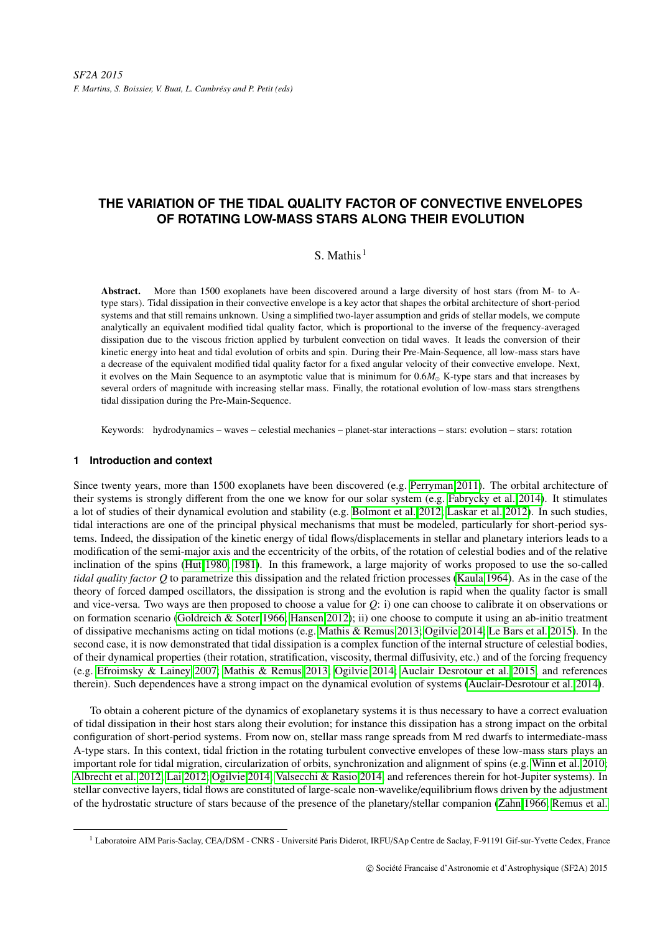# **THE VARIATION OF THE TIDAL QUALITY FACTOR OF CONVECTIVE ENVELOPES OF ROTATING LOW-MASS STARS ALONG THEIR EVOLUTION**

## S. Mathis  $1$

Abstract. More than 1500 exoplanets have been discovered around a large diversity of host stars (from M- to Atype stars). Tidal dissipation in their convective envelope is a key actor that shapes the orbital architecture of short-period systems and that still remains unknown. Using a simplified two-layer assumption and grids of stellar models, we compute analytically an equivalent modified tidal quality factor, which is proportional to the inverse of the frequency-averaged dissipation due to the viscous friction applied by turbulent convection on tidal waves. It leads the conversion of their kinetic energy into heat and tidal evolution of orbits and spin. During their Pre-Main-Sequence, all low-mass stars have a decrease of the equivalent modified tidal quality factor for a fixed angular velocity of their convective envelope. Next, it evolves on the Main Sequence to an asymptotic value that is minimum for  $0.6M<sub>o</sub>$  K-type stars and that increases by several orders of magnitude with increasing stellar mass. Finally, the rotational evolution of low-mass stars strengthens tidal dissipation during the Pre-Main-Sequence.

Keywords: hydrodynamics – waves – celestial mechanics – planet-star interactions – stars: evolution – stars: rotation

### **1 Introduction and context**

Since twenty years, more than 1500 exoplanets have been discovered (e.g. [Perryman 2011\)](#page-4-0). The orbital architecture of their systems is strongly different from the one we know for our solar system (e.g. [Fabrycky et al. 2014\)](#page-4-1). It stimulates a lot of studies of their dynamical evolution and stability (e.g. [Bolmont et al. 2012;](#page-3-0) [Laskar et al. 2012\)](#page-4-2). In such studies, tidal interactions are one of the principal physical mechanisms that must be modeled, particularly for short-period systems. Indeed, the dissipation of the kinetic energy of tidal flows/displacements in stellar and planetary interiors leads to a modification of the semi-major axis and the eccentricity of the orbits, of the rotation of celestial bodies and of the relative inclination of the spins [\(Hut 1980,](#page-4-3) [1981\)](#page-4-4). In this framework, a large majority of works proposed to use the so-called *tidal quality factor Q* to parametrize this dissipation and the related friction processes [\(Kaula 1964\)](#page-4-5). As in the case of the theory of forced damped oscillators, the dissipation is strong and the evolution is rapid when the quality factor is small and vice-versa. Two ways are then proposed to choose a value for *Q*: i) one can choose to calibrate it on observations or on formation scenario [\(Goldreich & Soter 1966;](#page-4-6) [Hansen 2012\)](#page-4-7); ii) one choose to compute it using an ab-initio treatment of dissipative mechanisms acting on tidal motions (e.g. [Mathis & Remus 2013;](#page-4-8) [Ogilvie 2014;](#page-4-9) [Le Bars et al. 2015\)](#page-4-10). In the second case, it is now demonstrated that tidal dissipation is a complex function of the internal structure of celestial bodies, of their dynamical properties (their rotation, stratification, viscosity, thermal diffusivity, etc.) and of the forcing frequency (e.g. [Efroimsky & Lainey 2007;](#page-3-1) [Mathis & Remus 2013;](#page-4-8) [Ogilvie 2014;](#page-4-9) [Auclair Desrotour et al. 2015,](#page-3-2) and references therein). Such dependences have a strong impact on the dynamical evolution of systems [\(Auclair-Desrotour et al. 2014\)](#page-3-3).

To obtain a coherent picture of the dynamics of exoplanetary systems it is thus necessary to have a correct evaluation of tidal dissipation in their host stars along their evolution; for instance this dissipation has a strong impact on the orbital configuration of short-period systems. From now on, stellar mass range spreads from M red dwarfs to intermediate-mass A-type stars. In this context, tidal friction in the rotating turbulent convective envelopes of these low-mass stars plays an important role for tidal migration, circularization of orbits, synchronization and alignment of spins (e.g. [Winn et al. 2010;](#page-4-11) [Albrecht et al. 2012;](#page-3-4) [Lai 2012;](#page-4-12) [Ogilvie 2014;](#page-4-9) [Valsecchi & Rasio 2014,](#page-4-13) and references therein for hot-Jupiter systems). In stellar convective layers, tidal flows are constituted of large-scale non-wavelike/equilibrium flows driven by the adjustment of the hydrostatic structure of stars because of the presence of the planetary/stellar companion [\(Zahn 1966;](#page-4-14) [Remus et al.](#page-4-15)

<sup>&</sup>lt;sup>1</sup> Laboratoire AIM Paris-Saclay, CEA/DSM - CNRS - Université Paris Diderot, IRFU/SAp Centre de Saclay, F-91191 Gif-sur-Yvette Cedex, France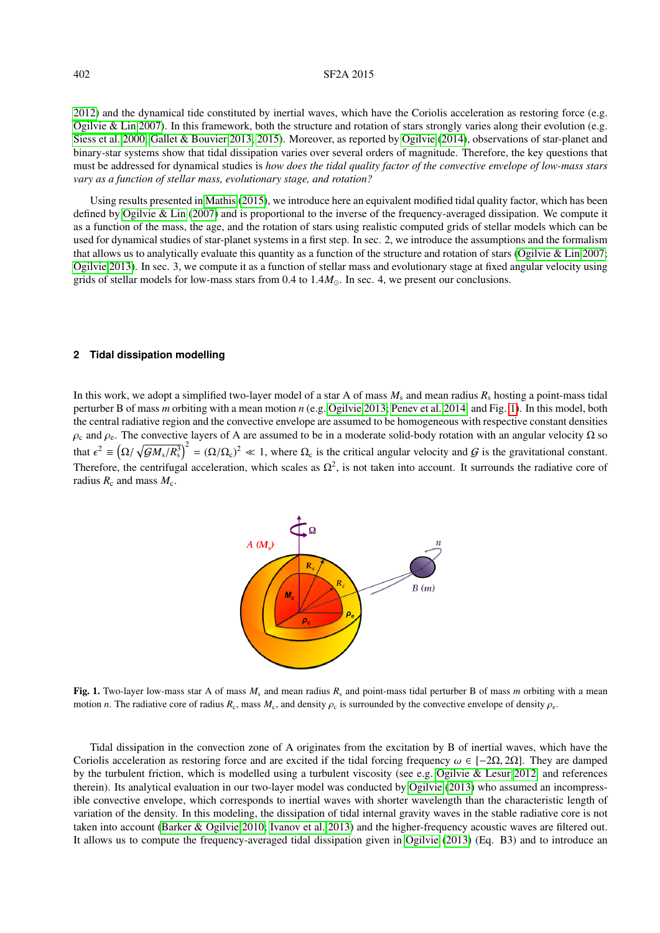#### 402 SF2A 2015

[2012\)](#page-4-15) and the dynamical tide constituted by inertial waves, which have the Coriolis acceleration as restoring force (e.g. [Ogilvie & Lin 2007\)](#page-4-16). In this framework, both the structure and rotation of stars strongly varies along their evolution (e.g. [Siess et al. 2000;](#page-4-17) [Gallet & Bouvier 2013,](#page-4-18) [2015\)](#page-4-19). Moreover, as reported by [Ogilvie](#page-4-9) [\(2014\)](#page-4-9), observations of star-planet and binary-star systems show that tidal dissipation varies over several orders of magnitude. Therefore, the key questions that must be addressed for dynamical studies is *how does the tidal quality factor of the convective envelope of low-mass stars vary as a function of stellar mass, evolutionary stage, and rotation?*

Using results presented in [Mathis](#page-4-20) [\(2015\)](#page-4-20), we introduce here an equivalent modified tidal quality factor, which has been defined by [Ogilvie & Lin](#page-4-16) [\(2007\)](#page-4-16) and is proportional to the inverse of the frequency-averaged dissipation. We compute it as a function of the mass, the age, and the rotation of stars using realistic computed grids of stellar models which can be used for dynamical studies of star-planet systems in a first step. In sec. 2, we introduce the assumptions and the formalism that allows us to analytically evaluate this quantity as a function of the structure and rotation of stars [\(Ogilvie & Lin 2007;](#page-4-16) [Ogilvie 2013\)](#page-4-21). In sec. 3, we compute it as a function of stellar mass and evolutionary stage at fixed angular velocity using grids of stellar models for low-mass stars from  $0.4$  to  $1.4M_{\odot}$ . In sec. 4, we present our conclusions.

#### **2 Tidal dissipation modelling**

In this work, we adopt a simplified two-layer model of a star A of mass  $M_s$  and mean radius  $R_s$  hosting a point-mass tidal perturber B of mass *m* orbiting with a mean motion *n* (e.g. [Ogilvie 2013;](#page-4-21) [Penev et al. 2014,](#page-4-22) and Fig. [1\)](#page-1-0). In this model, both the central radiative region and the convective envelope are assumed to be homogeneous with respective constant densities  $\rho_c$  and  $\rho_e$ . The convective layers of A are assumed to be in a moderate solid-body rotation with an angular velocity  $\Omega$  so that  $\epsilon^2 \equiv (\Omega/\sqrt{GM_s/R_s^3})^2 = (\Omega/\Omega_c)^2 \ll 1$ , where  $\Omega_c$  is the critical angular velocity and G is the gravitational constant. Therefore, the centrifugal acceleration, which scales as  $\Omega^2$ , is not taken into account. It surrounds the radiative core of radius  $R_c$  and mass  $M_c$ .



<span id="page-1-0"></span>Fig. 1. Two-layer low-mass star A of mass  $M_s$  and mean radius  $R_s$  and point-mass tidal perturber B of mass *m* orbiting with a mean motion *n*. The radiative core of radius  $R_c$ , mass  $M_c$ , and density  $\rho_c$  is surrounded by the convective envelope of density  $\rho_c$ .

Tidal dissipation in the convection zone of A originates from the excitation by B of inertial waves, which have the Coriolis acceleration as restoring force and are excited if the tidal forcing frequency  $\omega \in [-2\Omega, 2\Omega]$ . They are damped by the turbulent friction, which is modelled using a turbulent viscosity (see e.g. [Ogilvie & Lesur 2012,](#page-4-23) and references therein). Its analytical evaluation in our two-layer model was conducted by [Ogilvie](#page-4-21) [\(2013\)](#page-4-21) who assumed an incompressible convective envelope, which corresponds to inertial waves with shorter wavelength than the characteristic length of variation of the density. In this modeling, the dissipation of tidal internal gravity waves in the stable radiative core is not taken into account [\(Barker & Ogilvie 2010;](#page-3-5) [Ivanov et al. 2013\)](#page-4-24) and the higher-frequency acoustic waves are filtered out. It allows us to compute the frequency-averaged tidal dissipation given in [Ogilvie](#page-4-21) [\(2013\)](#page-4-21) (Eq. B3) and to introduce an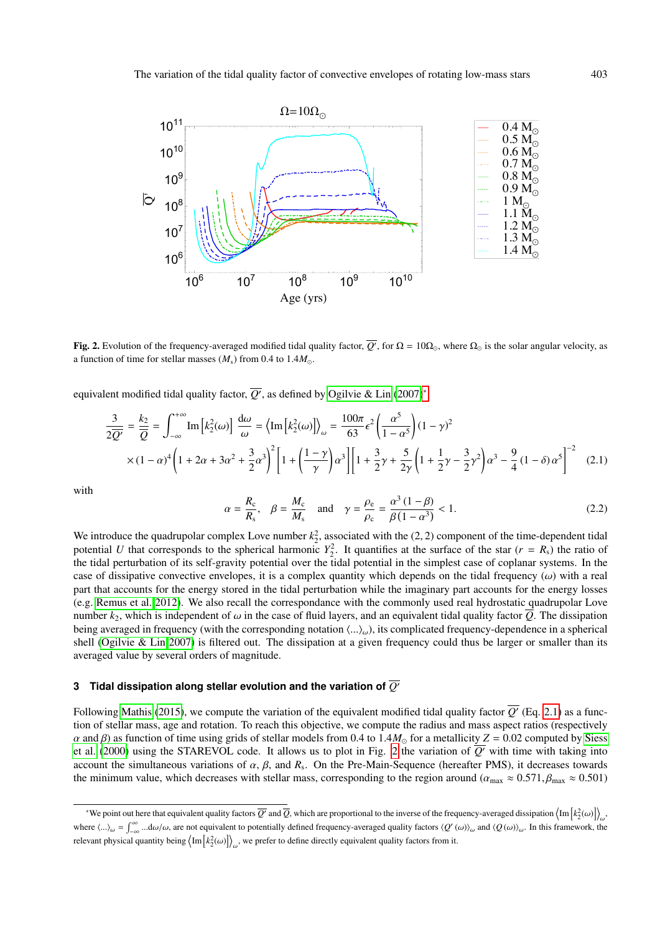

<span id="page-2-2"></span>**Fig. 2.** Evolution of the frequency-averaged modified tidal quality factor,  $\overline{Q}$ , for  $\Omega = 10\Omega_{\odot}$ , where  $\Omega_{\odot}$  is the solar angular velocity, as a function of time for stellar masses  $(M<sub>s</sub>)$  from 0.4 to  $1.4M<sub>o</sub>$ .

equivalent modified tidal quality factor,  $\overline{Q'}$ , as defined by [Ogilvie & Lin](#page-4-16) [\(2007\)](#page-4-16)<sup>[∗](#page-2-0)</sup>:

<span id="page-2-1"></span>
$$
\frac{3}{2\overline{Q'}} = \frac{k_2}{\overline{Q}} = \int_{-\infty}^{+\infty} \text{Im}\left[k_2^2(\omega)\right] \frac{d\omega}{\omega} = \left\langle \text{Im}\left[k_2^2(\omega)\right] \right\rangle_{\omega} = \frac{100\pi}{63} \epsilon^2 \left(\frac{\alpha^5}{1-\alpha^5}\right) (1-\gamma)^2
$$

$$
\times (1-\alpha)^4 \left(1 + 2\alpha + 3\alpha^2 + \frac{3}{2}\alpha^3\right)^2 \left[1 + \left(\frac{1-\gamma}{\gamma}\right)\alpha^3\right] \left[1 + \frac{3}{2}\gamma + \frac{5}{2\gamma}\left(1 + \frac{1}{2}\gamma - \frac{3}{2}\gamma^2\right)\alpha^3 - \frac{9}{4}\left(1 - \delta\right)\alpha^5\right]^{-2} \tag{2.1}
$$

with

$$
\alpha = \frac{R_c}{R_s}, \quad \beta = \frac{M_c}{M_s} \quad \text{and} \quad \gamma = \frac{\rho_e}{\rho_c} = \frac{\alpha^3 (1 - \beta)}{\beta (1 - \alpha^3)} < 1. \tag{2.2}
$$

We introduce the quadrupolar complex Love number  $k_2^2$ , associated with the (2, 2) component of the time-dependent tidal<br>potential *U* that corresponds to the spherical harmonic  $Y^2$ . It quantifies at the surface of th potential *U* that corresponds to the spherical harmonic  $Y_2^2$ . It quantifies at the surface of the star ( $r = R_s$ ) the ratio of the tidal perturbation of its self-gravity potential over the tidal potential in the simplest case of coplanar systems. In the case of dissipative convective envelopes, it is a complex quantity which depends on the tidal frequency  $(\omega)$  with a real part that accounts for the energy stored in the tidal perturbation while the imaginary part accounts for the energy losses (e.g. [Remus et al. 2012\)](#page-4-15). We also recall the correspondance with the commonly used real hydrostatic quadrupolar Love number  $k_2$ , which is independent of  $\omega$  in the case of fluid layers, and an equivalent tidal quality factor  $\overline{Q}$ . The dissipation being averaged in frequency (with the corresponding notation  $\langle ...\rangle_{\omega}$ ), its complicated frequency-dependence in a spherical shell [\(Ogilvie & Lin 2007\)](#page-4-16) is filtered out. The dissipation at a given frequency could thus be larger or smaller than its averaged value by several orders of magnitude.

## **3** Tidal dissipation along stellar evolution and the variation of  $\overline{O}$

Following [Mathis](#page-4-20) [\(2015\)](#page-4-20), we compute the variation of the equivalent modified tidal quality factor  $\overline{Q'}$  (Eq. [2.1\)](#page-2-1) as a function of stellar mass, age and rotation. To reach this objective, we compute the radius and mass aspect ratios (respectively  $\alpha$  and β) as function of time using grids of stellar models from 0.4 to 1.4 $M_{\odot}$  for a metallicity *Z* = 0.02 computed by [Siess](#page-4-17) [et al.](#page-4-17) [\(2000\)](#page-4-17) using the STAREVOL code. It allows us to plot in Fig. [2](#page-2-2) the variation of  $\overline{Q'}$  with time with taking into account the simultaneous variations of  $\alpha$ ,  $\beta$ , and  $R_s$ . On the Pre-Main-Sequence (hereafter PMS), it decreases towards<br>the minimum value, which decreases with stellar mass, corresponding to the region around ( $\alpha \approx 0$ the minimum value, which decreases with stellar mass, corresponding to the region around ( $\alpha_{\text{max}} \approx 0.571, \beta_{\text{max}} \approx 0.501$ )

<span id="page-2-0"></span><sup>\*</sup>We point out here that equivalent quality factors  $\overline{Q'}$  and  $\overline{Q}$ , which are proportional to the inverse of the frequency-averaged dissipation  $\langle \text{Im} [k_2^2(\omega)] \rangle_{\omega}$ . where  $\langle ... \rangle_{\omega} = \int_{-\infty}^{\infty} ... d\omega/\omega$ , are not equivalent to potentially defined frequency-averaged quality factors  $\langle Q'(\omega) \rangle_{\omega}$  and  $\langle Q(\omega) \rangle_{\omega}$ . In this framework, the relevant physical quantity being  $\left\langle \text{Im} \left[ k_2^2(\omega) \right] \right\rangle_\omega$ , we prefer to define directly equivalent quality factors from it.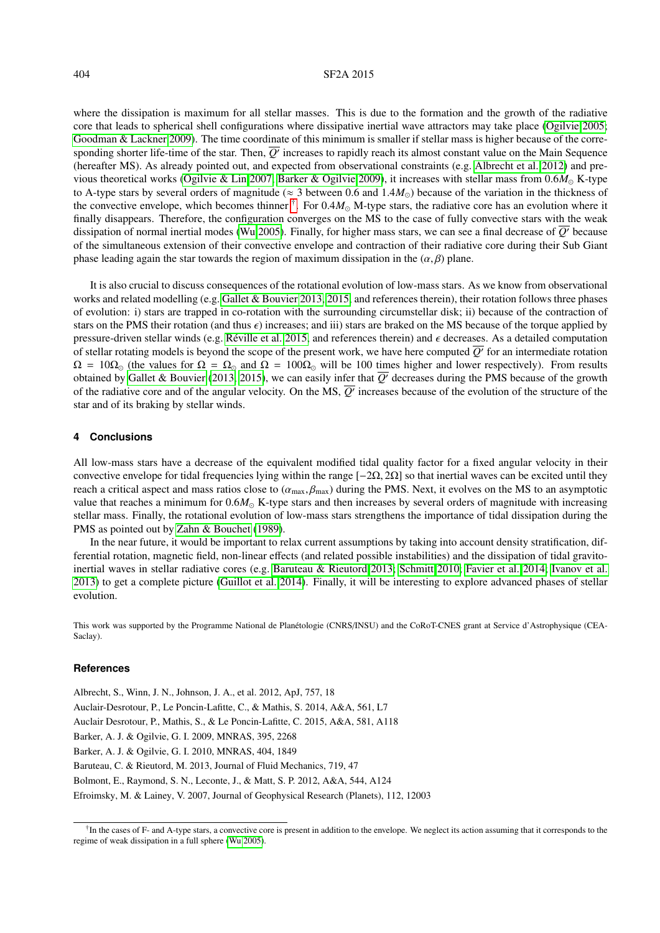#### 404 SF2A 2015

where the dissipation is maximum for all stellar masses. This is due to the formation and the growth of the radiative core that leads to spherical shell configurations where dissipative inertial wave attractors may take place [\(Ogilvie 2005;](#page-4-25) [Goodman & Lackner 2009\)](#page-4-26). The time coordinate of this minimum is smaller if stellar mass is higher because of the corresponding shorter life-time of the star. Then,  $\overline{Q'}$  increases to rapidly reach its almost constant value on the Main Sequence (hereafter MS). As already pointed out, and expected from observational constraints (e.g. [Albrecht et al. 2012\)](#page-3-4) and pre-vious theoretical works [\(Ogilvie & Lin 2007;](#page-4-16) [Barker & Ogilvie 2009\)](#page-3-6), it increases with stellar mass from  $0.6M_{\odot}$  K-type to A-type stars by several orders of magnitude ( $\approx$  3 between 0.6 and 1.4 $M_{\odot}$ ) because of the variation in the thickness of the convective envelope, which becomes thinner  $\hat{t}$ . For  $0.4M_{\odot}$  M-type stars, the radiative core has an evolution where it finally disappears. Therefore, the configuration converges on the MS to the case of fully finally disappears. Therefore, the configuration converges on the MS to the case of fully convective stars with the weak dissipation of normal inertial modes [\(Wu 2005\)](#page-4-27). Finally, for higher mass stars, we can see a final decrease of *Q*<sup>0</sup> because of the simultaneous extension of their convective envelope and contraction of their radiative core during their Sub Giant phase leading again the star towards the region of maximum dissipation in the  $(\alpha, \beta)$  plane.

It is also crucial to discuss consequences of the rotational evolution of low-mass stars. As we know from observational works and related modelling (e.g. [Gallet & Bouvier 2013,](#page-4-18) [2015,](#page-4-19) and references therein), their rotation follows three phases of evolution: i) stars are trapped in co-rotation with the surrounding circumstellar disk; ii) because of the contraction of stars on the PMS their rotation (and thus  $\epsilon$ ) increases; and iii) stars are braked on the MS because of the torque applied by pressure-driven stellar winds (e.g. Réville et al. 2015, and references therein) and  $\epsilon$  decreases. As a detailed computation of stellar rotating models is beyond the scope of the present work, we have here computed  $\overline{Q'}$  for an intermediate rotation  $\Omega = 10\Omega_{\odot}$  (the values for  $\Omega = \Omega_{\odot}$  and  $\Omega = 100\Omega_{\odot}$  will be 100 times higher and lower respectively). From results obtained by [Gallet & Bouvier](#page-4-18) [\(2013,](#page-4-18) [2015\)](#page-4-19), we can easily infer that  $\overline{Q'}$  decreases during the PMS because of the growth of the radiative core and of the angular velocity. On the MS,  $\overline{Q'}$  increases because of the evolution of the structure of the star and of its braking by stellar winds.

#### **4 Conclusions**

All low-mass stars have a decrease of the equivalent modified tidal quality factor for a fixed angular velocity in their convective envelope for tidal frequencies lying within the range [−2Ω, <sup>2</sup>Ω] so that inertial waves can be excited until they reach a critical aspect and mass ratios close to  $(\alpha_{\text{max}}, \beta_{\text{max}})$  during the PMS. Next, it evolves on the MS to an asymptotic value that reaches a minimum for  $0.6M_{\odot}$  K-type stars and then increases by several orders of magnitude with increasing stellar mass. Finally, the rotational evolution of low-mass stars strengthens the importance of tidal dissipation during the PMS as pointed out by [Zahn & Bouchet](#page-4-29) [\(1989\)](#page-4-29).

In the near future, it would be important to relax current assumptions by taking into account density stratification, differential rotation, magnetic field, non-linear effects (and related possible instabilities) and the dissipation of tidal gravitoinertial waves in stellar radiative cores (e.g. [Baruteau & Rieutord 2013;](#page-3-8) [Schmitt 2010;](#page-4-30) [Favier et al. 2014;](#page-4-31) [Ivanov et al.](#page-4-24) [2013\)](#page-4-24) to get a complete picture [\(Guillot et al. 2014\)](#page-4-32). Finally, it will be interesting to explore advanced phases of stellar evolution.

This work was supported by the Programme National de Planétologie (CNRS/INSU) and the CoRoT-CNES grant at Service d'Astrophysique (CEA-Saclay).

#### **References**

<span id="page-3-8"></span><span id="page-3-6"></span><span id="page-3-5"></span><span id="page-3-4"></span><span id="page-3-3"></span><span id="page-3-2"></span>Albrecht, S., Winn, J. N., Johnson, J. A., et al. 2012, ApJ, 757, 18 Auclair-Desrotour, P., Le Poncin-Lafitte, C., & Mathis, S. 2014, A&A, 561, L7 Auclair Desrotour, P., Mathis, S., & Le Poncin-Lafitte, C. 2015, A&A, 581, A118 Barker, A. J. & Ogilvie, G. I. 2009, MNRAS, 395, 2268 Barker, A. J. & Ogilvie, G. I. 2010, MNRAS, 404, 1849 Baruteau, C. & Rieutord, M. 2013, Journal of Fluid Mechanics, 719, 47 Bolmont, E., Raymond, S. N., Leconte, J., & Matt, S. P. 2012, A&A, 544, A124 Efroimsky, M. & Lainey, V. 2007, Journal of Geophysical Research (Planets), 112, 12003

<span id="page-3-7"></span><span id="page-3-1"></span><span id="page-3-0"></span><sup>&</sup>lt;sup>†</sup>In the cases of F- and A-type stars, a convective core is present in addition to the envelope. We neglect its action assuming that it corresponds to the regime of weak dissipation in a full sphere [\(Wu 2005\)](#page-4-27).